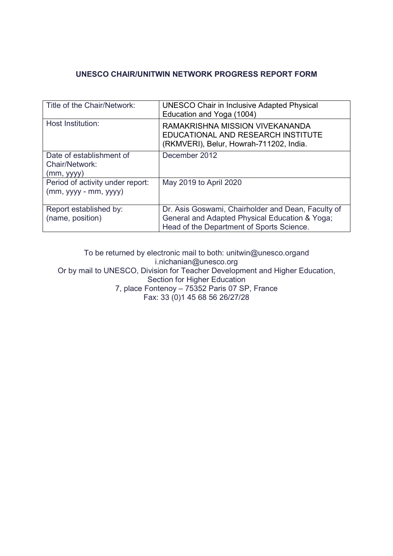# **UNESCO CHAIR/UNITWIN NETWORK PROGRESS REPORT FORM**

| Title of the Chair/Network:                                | <b>UNESCO Chair in Inclusive Adapted Physical</b><br>Education and Yoga (1004)                                                                    |
|------------------------------------------------------------|---------------------------------------------------------------------------------------------------------------------------------------------------|
| Host Institution:                                          | RAMAKRISHNA MISSION VIVEKANANDA<br>EDUCATIONAL AND RESEARCH INSTITUTE<br>(RKMVERI), Belur, Howrah-711202, India.                                  |
| Date of establishment of<br>Chair/Network:<br>(mm, vyy)    | December 2012                                                                                                                                     |
| Period of activity under report:<br>$(mm, yyyy - mm, yyy)$ | May 2019 to April 2020                                                                                                                            |
| Report established by:<br>(name, position)                 | Dr. Asis Goswami, Chairholder and Dean, Faculty of<br>General and Adapted Physical Education & Yoga;<br>Head of the Department of Sports Science. |

To be returned by electronic mail to both: unitwin@unesco.organd i.nichanian@unesco.org Or by mail to UNESCO, Division for Teacher Development and Higher Education, Section for Higher Education 7, place Fontenoy – 75352 Paris 07 SP, France Fax: 33 (0)1 45 68 56 26/27/28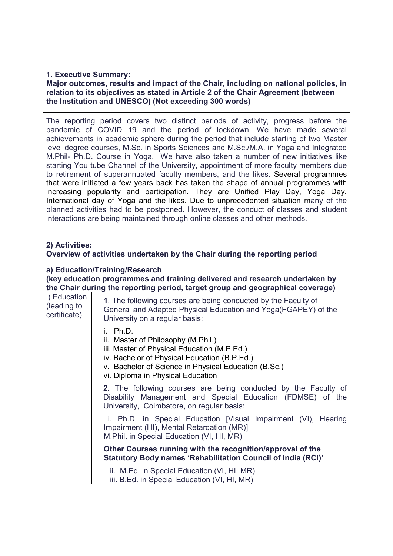# **1. Executive Summary:**

# **Major outcomes, results and impact of the Chair, including on national policies, in relation to its objectives as stated in Article 2 of the Chair Agreement (between the Institution and UNESCO) (Not exceeding 300 words)**

The reporting period covers two distinct periods of activity, progress before the pandemic of COVID 19 and the period of lockdown. We have made several achievements in academic sphere during the period that include starting of two Master level degree courses, M.Sc. in Sports Sciences and M.Sc./M.A. in Yoga and Integrated M.Phil- Ph.D. Course in Yoga. We have also taken a number of new initiatives like starting You tube Channel of the University, appointment of more faculty members due to retirement of superannuated faculty members, and the likes. Several programmes that were initiated a few years back has taken the shape of annual programmes with increasing popularity and participation. They are Unified Play Day, Yoga Day, International day of Yoga and the likes. Due to unprecedented situation many of the planned activities had to be postponed. However, the conduct of classes and student interactions are being maintained through online classes and other methods.

| 2) Activities:<br>Overview of activities undertaken by the Chair during the reporting period                                                                                                    |                                                                                                                                                                                                                                             |  |  |  |  |  |
|-------------------------------------------------------------------------------------------------------------------------------------------------------------------------------------------------|---------------------------------------------------------------------------------------------------------------------------------------------------------------------------------------------------------------------------------------------|--|--|--|--|--|
| a) Education/Training/Research<br>(key education programmes and training delivered and research undertaken by<br>the Chair during the reporting period, target group and geographical coverage) |                                                                                                                                                                                                                                             |  |  |  |  |  |
| i) Education<br>(leading to<br>certificate)                                                                                                                                                     | 1. The following courses are being conducted by the Faculty of<br>General and Adapted Physical Education and Yoga(FGAPEY) of the<br>University on a regular basis:                                                                          |  |  |  |  |  |
|                                                                                                                                                                                                 | $i$ Ph.D.<br>ii. Master of Philosophy (M.Phil.)<br>iii. Master of Physical Education (M.P.Ed.)<br>iv. Bachelor of Physical Education (B.P.Ed.)<br>v. Bachelor of Science in Physical Education (B.Sc.)<br>vi. Diploma in Physical Education |  |  |  |  |  |
|                                                                                                                                                                                                 | 2. The following courses are being conducted by the Faculty of<br>Disability Management and Special Education (FDMSE) of the<br>University, Coimbatore, on regular basis:                                                                   |  |  |  |  |  |
|                                                                                                                                                                                                 | i. Ph.D. in Special Education [Visual Impairment (VI), Hearing<br>Impairment (HI), Mental Retardation (MR)]<br>M.Phil. in Special Education (VI, HI, MR)                                                                                    |  |  |  |  |  |
|                                                                                                                                                                                                 | Other Courses running with the recognition/approval of the<br>Statutory Body names 'Rehabilitation Council of India (RCI)'                                                                                                                  |  |  |  |  |  |
|                                                                                                                                                                                                 | ii. M.Ed. in Special Education (VI, HI, MR)<br>iii. B.Ed. in Special Education (VI, HI, MR)                                                                                                                                                 |  |  |  |  |  |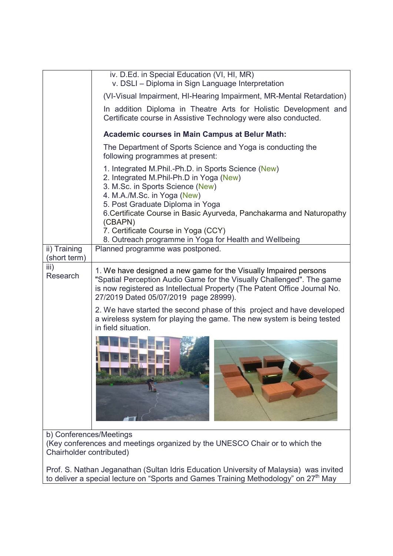|                                                                                                                                    | iv. D.Ed. in Special Education (VI, HI, MR)<br>v. DSLI - Diploma in Sign Language Interpretation                                                                                                                                                                                                                                |  |  |  |  |
|------------------------------------------------------------------------------------------------------------------------------------|---------------------------------------------------------------------------------------------------------------------------------------------------------------------------------------------------------------------------------------------------------------------------------------------------------------------------------|--|--|--|--|
|                                                                                                                                    | (VI-Visual Impairment, HI-Hearing Impairment, MR-Mental Retardation)                                                                                                                                                                                                                                                            |  |  |  |  |
|                                                                                                                                    | In addition Diploma in Theatre Arts for Holistic Development and<br>Certificate course in Assistive Technology were also conducted.                                                                                                                                                                                             |  |  |  |  |
|                                                                                                                                    | <b>Academic courses in Main Campus at Belur Math:</b>                                                                                                                                                                                                                                                                           |  |  |  |  |
|                                                                                                                                    | The Department of Sports Science and Yoga is conducting the<br>following programmes at present:                                                                                                                                                                                                                                 |  |  |  |  |
|                                                                                                                                    | 1. Integrated M.Phil.-Ph.D. in Sports Science (New)<br>2. Integrated M.Phil-Ph.D in Yoga (New)<br>3. M.Sc. in Sports Science (New)<br>4. M.A./M.Sc. in Yoga (New)<br>5. Post Graduate Diploma in Yoga<br>6. Certificate Course in Basic Ayurveda, Panchakarma and Naturopathy<br>(CBAPN)<br>7. Certificate Course in Yoga (CCY) |  |  |  |  |
|                                                                                                                                    | 8. Outreach programme in Yoga for Health and Wellbeing                                                                                                                                                                                                                                                                          |  |  |  |  |
| ii) Training<br>(short term)                                                                                                       | Planned programme was postponed.                                                                                                                                                                                                                                                                                                |  |  |  |  |
| iii)<br>Research                                                                                                                   | 1. We have designed a new game for the Visually Impaired persons<br>"Spatial Perception Audio Game for the Visually Challenged". The game<br>is now registered as Intellectual Property (The Patent Office Journal No.<br>27/2019 Dated 05/07/2019 page 28999).                                                                 |  |  |  |  |
|                                                                                                                                    | 2. We have started the second phase of this project and have developed<br>a wireless system for playing the game. The new system is being tested<br>in field situation.                                                                                                                                                         |  |  |  |  |
|                                                                                                                                    |                                                                                                                                                                                                                                                                                                                                 |  |  |  |  |
| b) Conferences/Meetings<br>(Key conferences and meetings organized by the UNESCO Chair or to which the<br>Chairholder contributed) |                                                                                                                                                                                                                                                                                                                                 |  |  |  |  |

Prof. S. Nathan Jeganathan (Sultan Idris Education University of Malaysia) was invited to deliver a special lecture on "Sports and Games Training Methodology" on 27<sup>th</sup> May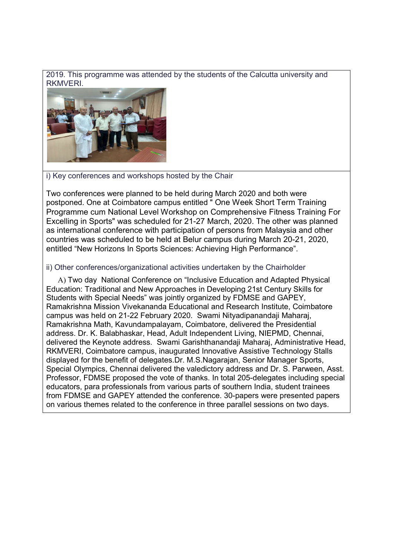2019. This programme was attended by the students of the Calcutta university and RKMVERI.



# i) Key conferences and workshops hosted by the Chair

Two conferences were planned to be held during March 2020 and both were postponed. One at Coimbatore campus entitled " One Week Short Term Training Programme cum National Level Workshop on Comprehensive Fitness Training For Excelling in Sports" was scheduled for 21-27 March, 2020. The other was planned as international conference with participation of persons from Malaysia and other countries was scheduled to be held at Belur campus during March 20-21, 2020, entitled "New Horizons In Sports Sciences: Achieving High Performance".

# ii) Other conferences/organizational activities undertaken by the Chairholder

 A) Two day National Conference on "Inclusive Education and Adapted Physical Education: Traditional and New Approaches in Developing 21st Century Skills for Students with Special Needs" was jointly organized by FDMSE and GAPEY, Ramakrishna Mission Vivekananda Educational and Research Institute, Coimbatore campus was held on 21-22 February 2020. Swami Nityadipanandaji Maharaj, Ramakrishna Math, Kavundampalayam, Coimbatore, delivered the Presidential address. Dr. K. Balabhaskar, Head, Adult Independent Living, NIEPMD, Chennai, delivered the Keynote address. Swami Garishthanandaji Maharaj, Administrative Head, RKMVERI, Coimbatore campus, inaugurated Innovative Assistive Technology Stalls displayed for the benefit of delegates.Dr. M.S.Nagarajan, Senior Manager Sports, Special Olympics, Chennai delivered the valedictory address and Dr. S. Parween, Asst. Professor, FDMSE proposed the vote of thanks. In total 205-delegates including special educators, para professionals from various parts of southern India, student trainees from FDMSE and GAPEY attended the conference. 30-papers were presented papers on various themes related to the conference in three parallel sessions on two days.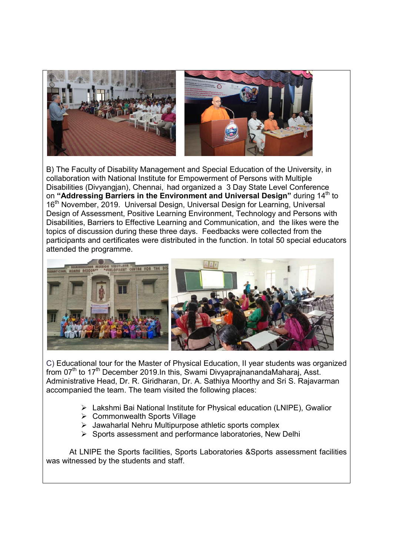

B) The Faculty of Disability Management and Special Education of the University, in collaboration with National Institute for Empowerment of Persons with Multiple Disabilities (Divyangjan), Chennai, had organized a 3 Day State Level Conference on "Addressing Barriers in the Environment and Universal Design" during 14<sup>th</sup> to 16<sup>th</sup> November, 2019. Universal Design, Universal Design for Learning, Universal Design of Assessment, Positive Learning Environment, Technology and Persons with Disabilities, Barriers to Effective Learning and Communication, and the likes were the topics of discussion during these three days. Feedbacks were collected from the participants and certificates were distributed in the function. In total 50 special educators attended the programme.



C) Educational tour for the Master of Physical Education, II year students was organized from  $07<sup>th</sup>$  to  $17<sup>th</sup>$  December 2019.In this, Swami DivyaprainanandaMaharai, Asst. Administrative Head, Dr. R. Giridharan, Dr. A. Sathiya Moorthy and Sri S. Rajavarman accompanied the team. The team visited the following places:

- Lakshmi Bai National Institute for Physical education (LNIPE), Gwalior
- ▶ Commonwealth Sports Village
- $\triangleright$  Jawaharlal Nehru Multipurpose athletic sports complex
- $\triangleright$  Sports assessment and performance laboratories, New Delhi

At LNIPE the Sports facilities, Sports Laboratories &Sports assessment facilities was witnessed by the students and staff.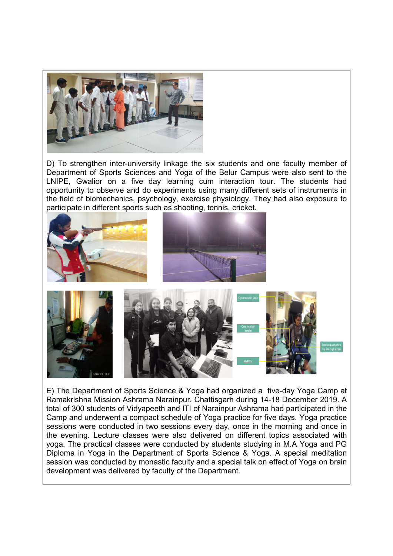

D) To strengthen inter-university linkage the six students and one faculty member of D) To strengthen inter-university linkage the six students and one faculty member of<br>Department of Sports Sciences and Yoga of the Belur Campus were also sent to the LNIPE, Gwalior on a five day learning cum interaction tour. The students had opportunity to observe and do experiments using many different sets of instruments in the field of biomechanics, psychology, exercise physiology. They had also exposure to participate in different sports such as shooting, tennis, cricket. LNIPE, Gwalior on a five day learning cum interaction tour. The students had<br>opportunity to observe and do experiments using many different sets of instruments in<br>the field of biomechanics, psychology, exercise physiology.



E) The Department of Sports Science & Yoga had organized a five Ramakrishna Mission Ashrama Narainpur, Chattisgarh during 14-18 December 2019. A Ramakrishna Mission Ashrama Narainpur, Chattisgarh during 14-18 December 2019. A<br>total of 300 students of Vidyapeeth and ITI of Narainpur Ashrama had participated in the Camp and underwent a compact schedule of Yoga practice for five days. Yoga practice sessions were conducted in two sessions every day, once in the morning and once in the evening. Lecture classes were also delivered on different topics associated with yoga. The practical classes were conducted by students studying in M.A Yoga and PG Diploma in Yoga in the Department of Sports Science & Yoga. A special meditation session was conducted by monastic faculty and a special talk on effect of Yoga on brain development was delivered by faculty of the Department. he morning and once in<br>t topics associated with<br>ng in M.A Yoga and PG<br>ga. A special meditation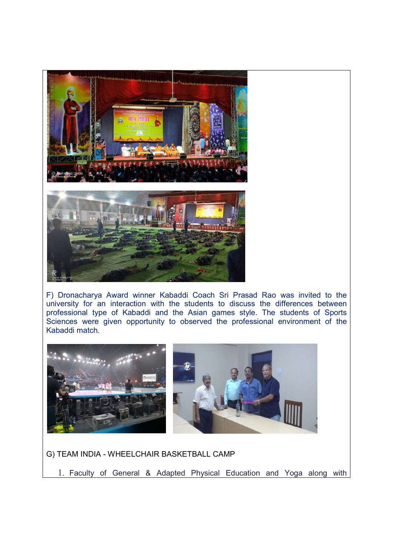

F) Dronacharya Award winner Kabaddi Coach Sri Prasad Rao was invited to the university for an interaction with the students to discuss the differences between professional type of Kabaddi and the Asian games style. The students of Sports Sciences were given opportunity to observed the professional environment of the Kabaddi match.



G) TEAM INDIA - WHEELCHAIR BASKETBALL CAMP

1. Faculty of General & Adapted Physical Education and Yoga along with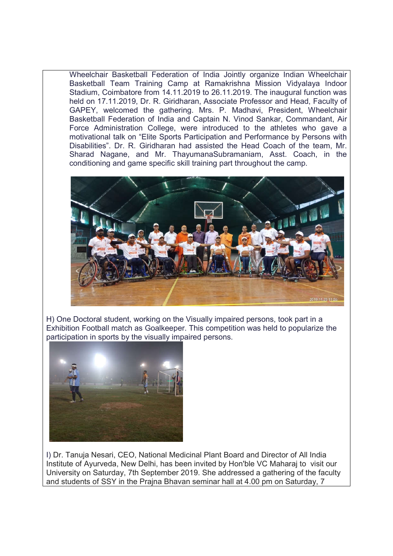Wheelchair Basketball Federation of India Jointly organize Indian Wheelchair Basketball Team Training Camp at Ramakrishna Mission Vidyalaya Indoor Stadium, Coimbatore from 14.11.2019 to 26.11.2019. The inaugural function was held on 17.11.2019, Dr. R. Giridharan, Associate Professor and Head, Faculty of GAPEY, welcomed the gathering. Mrs. P. Madhavi, President, Wheelchair Basketball Federation of India and Captain N. Vinod Sankar, Commandant, Air Force Administration College, were introduced to the athletes who gave a motivational talk on "Elite Sports Participation and Performance by Persons with Disabilities". Dr. R. Giridharan had assisted the Head Coach of the team, Mr. Sharad Nagane, and Mr. ThayumanaSubramaniam, Asst. Coach, in the conditioning and game specific skill training part throughout the camp.



H) One Doctoral student, working on the Visually impaired persons, took part in a Exhibition Football match as Goalkeeper. This competition was held to popularize the participation in sports by the visually impaired persons.



I) Dr. Tanuja Nesari, CEO, National Medicinal Plant Board and Director of All India Institute of Ayurveda, New Delhi, has been invited by Hon'ble VC Maharaj to visit our University on Saturday, 7th September 2019. She addressed a gathering of the faculty and students of SSY in the Prajna Bhavan seminar hall at 4.00 pm on Saturday, 7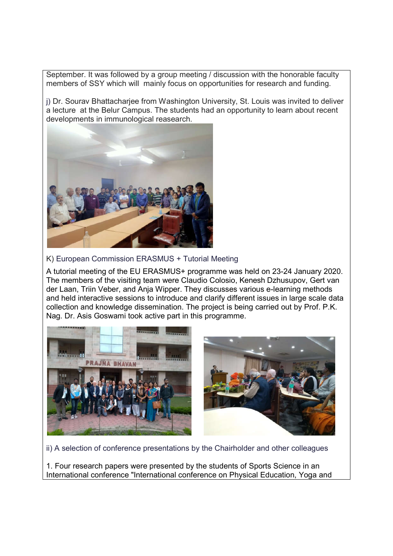September. It was followed by a group meeting / discussion with the honorable faculty members of SSY which will mainly focus on opportunities for research and funding.

j) Dr. Sourav Bhattacharjee from Washington University, St. Louis was invited to deliver a lecture at the Belur Campus. The students had an opportunity to learn about recent developments in immunological reasearch.



K) European Commission ERASMUS + Tutorial Meeting

A tutorial meeting of the EU ERASMUS+ programme was held on 23-24 January 2020. The members of the visiting team were Claudio Colosio, Kenesh Dzhusupov, Gert van der Laan, Triin Veber, and Anja Wipper. They discusses various e-learning methods and held interactive sessions to introduce and clarify different issues in large scale data collection and knowledge dissemination. The project is being carried out by Prof. P.K. Nag. Dr. Asis Goswami took active part in this programme.



ii) A selection of conference presentations by the Chairholder and other colleagues

1. Four research papers were presented by the students of Sports Science in an International conference "International conference on Physical Education, Yoga and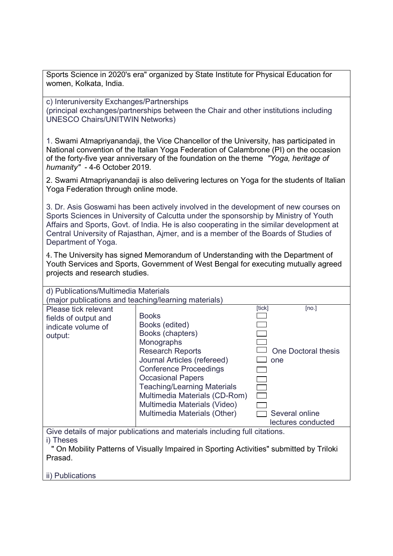Sports Science in 2020's era" organized by State Institute for Physical Education for women, Kolkata, India.

c) Interuniversity Exchanges/Partnerships (principal exchanges/partnerships between the Chair and other institutions including UNESCO Chairs/UNITWIN Networks)

1. Swami Atmapriyanandaji, the Vice Chancellor of the University, has participated in National convention of the Italian Yoga Federation of Calambrone (PI) on the occasion of the forty-five year anniversary of the foundation on the theme *"Yoga, heritage of humanity"* - 4-6 October 2019.

2. Swami Atmapriyanandaji is also delivering lectures on Yoga for the students of Italian Yoga Federation through online mode.

3. Dr. Asis Goswami has been actively involved in the development of new courses on Sports Sciences in University of Calcutta under the sponsorship by Ministry of Youth Affairs and Sports, Govt. of India. He is also cooperating in the similar development at Central University of Rajasthan, Ajmer, and is a member of the Boards of Studies of Department of Yoga.

4. The University has signed Memorandum of Understanding with the Department of Youth Services and Sports, Government of West Bengal for executing mutually agreed projects and research studies.

| d) Publications/Multimedia Materials                                                                |                                    |        |                     |  |  |
|-----------------------------------------------------------------------------------------------------|------------------------------------|--------|---------------------|--|--|
| (major publications and teaching/learning materials)                                                |                                    |        |                     |  |  |
| Please tick relevant                                                                                |                                    | [tick] | [no.]               |  |  |
| fields of output and                                                                                | <b>Books</b>                       |        |                     |  |  |
| indicate volume of                                                                                  | Books (edited)                     |        |                     |  |  |
| output:                                                                                             | Books (chapters)                   |        |                     |  |  |
|                                                                                                     | Monographs                         |        |                     |  |  |
|                                                                                                     | <b>Research Reports</b>            |        | One Doctoral thesis |  |  |
|                                                                                                     | Journal Articles (refereed)        |        | one                 |  |  |
|                                                                                                     | <b>Conference Proceedings</b>      |        |                     |  |  |
|                                                                                                     | <b>Occasional Papers</b>           |        |                     |  |  |
|                                                                                                     | <b>Teaching/Learning Materials</b> |        |                     |  |  |
|                                                                                                     | Multimedia Materials (CD-Rom)      |        |                     |  |  |
|                                                                                                     | Multimedia Materials (Video)       |        |                     |  |  |
|                                                                                                     | Multimedia Materials (Other)       |        | Several online      |  |  |
|                                                                                                     |                                    |        | lectures conducted  |  |  |
| Give details of major publications and materials including full citations.                          |                                    |        |                     |  |  |
| i) Theses                                                                                           |                                    |        |                     |  |  |
|                                                                                                     |                                    |        |                     |  |  |
| " On Mobility Patterns of Visually Impaired in Sporting Activities" submitted by Triloki<br>Prasad. |                                    |        |                     |  |  |
|                                                                                                     |                                    |        |                     |  |  |
| ii) Publications                                                                                    |                                    |        |                     |  |  |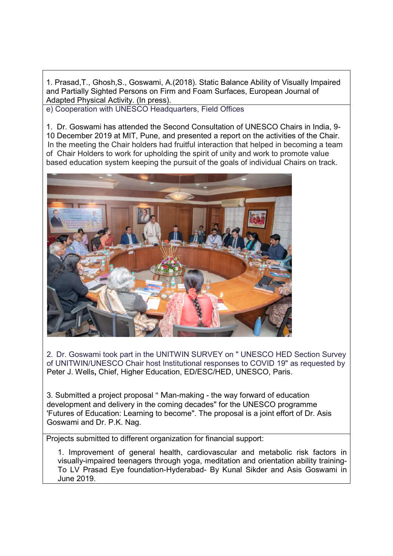1. Prasad,T., Ghosh,S., Goswami, A.(2018). Static Balance Ability of Visually Impaired and Partially Sighted Persons on Firm and Foam Surfaces, European Journal of Adapted Physical Activity. (In press).

e) Cooperation with UNESCO Headquarters, Field Offices

1. Dr. Goswami has attended the Second Consultation of UNESCO Chairs in India, 9- 10 December 2019 at MIT, Pune, and presented a report on the activities of the Chair. In the meeting the Chair holders had fruitful interaction that helped in becoming a team of Chair Holders to work for upholding the spirit of unity and work to promote value based education system keeping the pursuit of the goals of individual Chairs on track.



2. Dr. Goswami took part in the UNITWIN SURVEY on " UNESCO HED Section Survey of UNITWIN/UNESCO Chair host Institutional responses to COVID 19" as requested by Peter J. Wells**,** Chief, Higher Education, ED/ESC/HED, UNESCO, Paris.

3. Submitted a project proposal " Man-making - the way forward of education development and delivery in the coming decades" for the UNESCO programme 'Futures of Education: Learning to become". The proposal is a joint effort of Dr. Asis Goswami and Dr. P.K. Nag.

Projects submitted to different organization for financial support:

1. Improvement of general health, cardiovascular and metabolic risk factors in visually-impaired teenagers through yoga, meditation and orientation ability training-To LV Prasad Eye foundation-Hyderabad- By Kunal Sikder and Asis Goswami in June 2019.